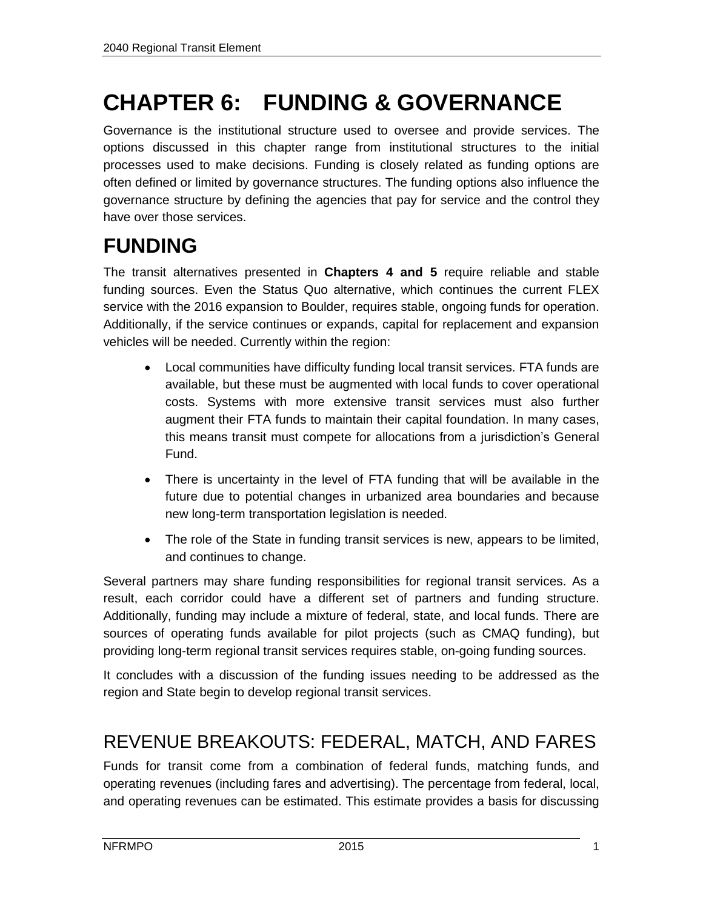# **CHAPTER 6: FUNDING & GOVERNANCE**

Governance is the institutional structure used to oversee and provide services. The options discussed in this chapter range from institutional structures to the initial processes used to make decisions. Funding is closely related as funding options are often defined or limited by governance structures. The funding options also influence the governance structure by defining the agencies that pay for service and the control they have over those services.

## **FUNDING**

The transit alternatives presented in **Chapters 4 and 5** require reliable and stable funding sources. Even the Status Quo alternative, which continues the current FLEX service with the 2016 expansion to Boulder, requires stable, ongoing funds for operation. Additionally, if the service continues or expands, capital for replacement and expansion vehicles will be needed. Currently within the region:

- Local communities have difficulty funding local transit services. FTA funds are available, but these must be augmented with local funds to cover operational costs. Systems with more extensive transit services must also further augment their FTA funds to maintain their capital foundation. In many cases, this means transit must compete for allocations from a jurisdiction's General Fund.
- There is uncertainty in the level of FTA funding that will be available in the future due to potential changes in urbanized area boundaries and because new long-term transportation legislation is needed.
- The role of the State in funding transit services is new, appears to be limited, and continues to change.

Several partners may share funding responsibilities for regional transit services. As a result, each corridor could have a different set of partners and funding structure. Additionally, funding may include a mixture of federal, state, and local funds. There are sources of operating funds available for pilot projects (such as CMAQ funding), but providing long-term regional transit services requires stable, on-going funding sources.

It concludes with a discussion of the funding issues needing to be addressed as the region and State begin to develop regional transit services.

### REVENUE BREAKOUTS: FEDERAL, MATCH, AND FARES

Funds for transit come from a combination of federal funds, matching funds, and operating revenues (including fares and advertising). The percentage from federal, local, and operating revenues can be estimated. This estimate provides a basis for discussing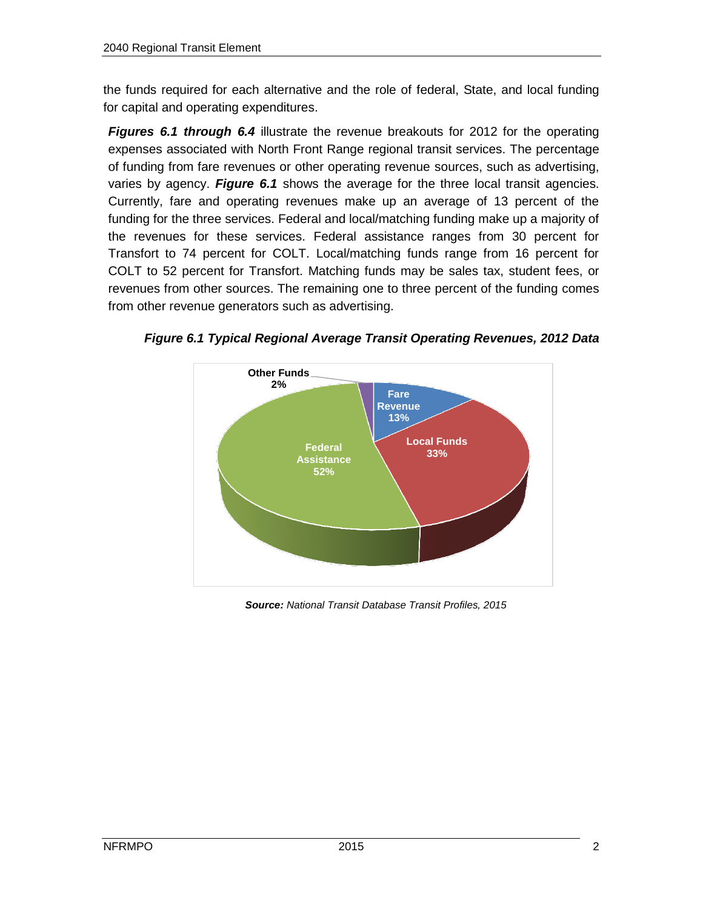the funds required for each alternative and the role of federal, State, and local funding for capital and operating expenditures.

*Figures 6.1 through 6.4* illustrate the revenue breakouts for 2012 for the operating expenses associated with North Front Range regional transit services. The percentage of funding from fare revenues or other operating revenue sources, such as advertising, varies by agency. *Figure 6.1* shows the average for the three local transit agencies. Currently, fare and operating revenues make up an average of 13 percent of the funding for the three services. Federal and local/matching funding make up a majority of the revenues for these services. Federal assistance ranges from 30 percent for Transfort to 74 percent for COLT. Local/matching funds range from 16 percent for COLT to 52 percent for Transfort. Matching funds may be sales tax, student fees, or revenues from other sources. The remaining one to three percent of the funding comes from other revenue generators such as advertising.



*Figure 6.1 Typical Regional Average Transit Operating Revenues, 2012 Data*

*Source: National Transit Database Transit Profiles, 2015*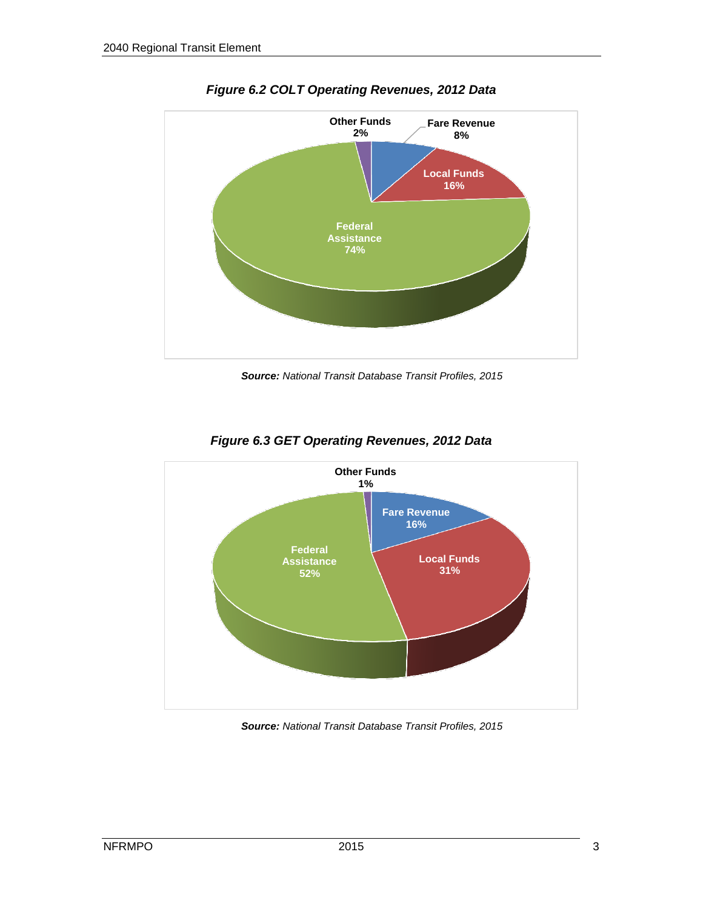

*Figure 6.2 COLT Operating Revenues, 2012 Data*

*Source: National Transit Database Transit Profiles, 2015*



*Figure 6.3 GET Operating Revenues, 2012 Data*

*Source: National Transit Database Transit Profiles, 2015*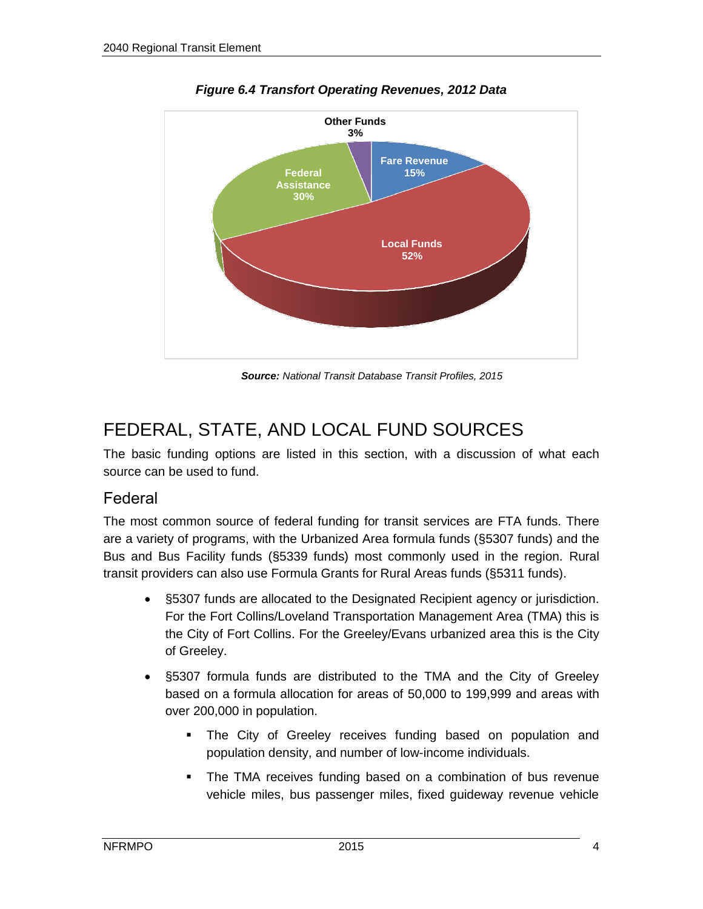

*Figure 6.4 Transfort Operating Revenues, 2012 Data*

*Source: National Transit Database Transit Profiles, 2015*

### FEDERAL, STATE, AND LOCAL FUND SOURCES

The basic funding options are listed in this section, with a discussion of what each source can be used to fund.

#### Federal

The most common source of federal funding for transit services are FTA funds. There are a variety of programs, with the Urbanized Area formula funds (§5307 funds) and the Bus and Bus Facility funds (§5339 funds) most commonly used in the region. Rural transit providers can also use Formula Grants for Rural Areas funds (§5311 funds).

- §5307 funds are allocated to the Designated Recipient agency or jurisdiction. For the Fort Collins/Loveland Transportation Management Area (TMA) this is the City of Fort Collins. For the Greeley/Evans urbanized area this is the City of Greeley.
- §5307 formula funds are distributed to the TMA and the City of Greeley based on a formula allocation for areas of 50,000 to 199,999 and areas with over 200,000 in population.
	- The City of Greeley receives funding based on population and population density, and number of low-income individuals.
	- The TMA receives funding based on a combination of bus revenue vehicle miles, bus passenger miles, fixed guideway revenue vehicle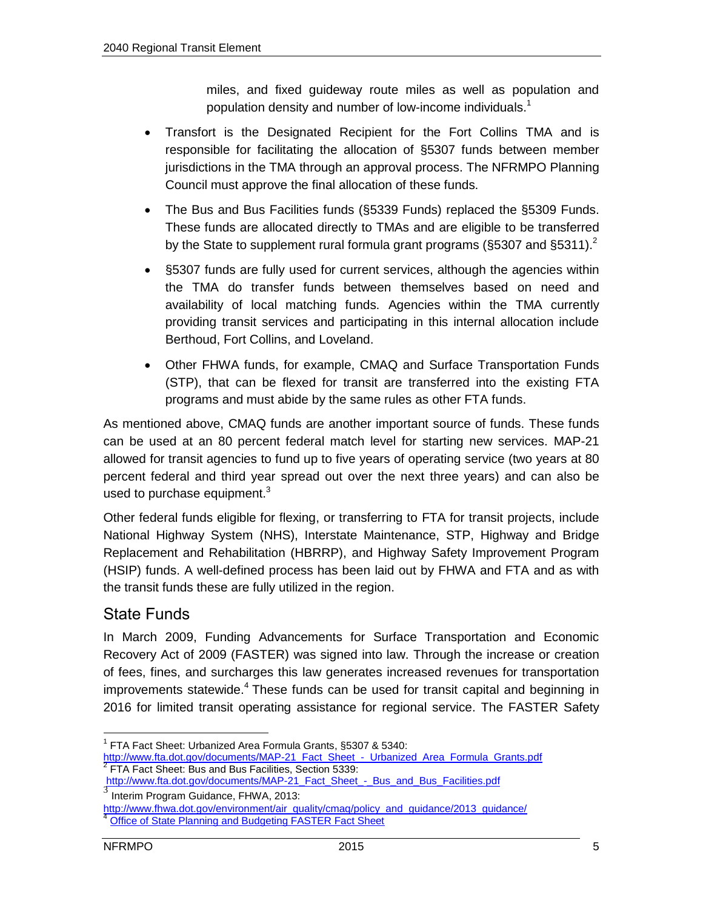miles, and fixed guideway route miles as well as population and population density and number of low-income individuals.<sup>1</sup>

- Transfort is the Designated Recipient for the Fort Collins TMA and is responsible for facilitating the allocation of §5307 funds between member jurisdictions in the TMA through an approval process. The NFRMPO Planning Council must approve the final allocation of these funds.
- The Bus and Bus Facilities funds (§5339 Funds) replaced the §5309 Funds. These funds are allocated directly to TMAs and are eligible to be transferred by the State to supplement rural formula grant programs (§5307 and §5311).<sup>2</sup>
- §5307 funds are fully used for current services, although the agencies within the TMA do transfer funds between themselves based on need and availability of local matching funds. Agencies within the TMA currently providing transit services and participating in this internal allocation include Berthoud, Fort Collins, and Loveland.
- Other FHWA funds, for example, CMAQ and Surface Transportation Funds (STP), that can be flexed for transit are transferred into the existing FTA programs and must abide by the same rules as other FTA funds.

As mentioned above, CMAQ funds are another important source of funds. These funds can be used at an 80 percent federal match level for starting new services. MAP-21 allowed for transit agencies to fund up to five years of operating service (two years at 80 percent federal and third year spread out over the next three years) and can also be used to purchase equipment. $3$ 

Other federal funds eligible for flexing, or transferring to FTA for transit projects, include National Highway System (NHS), Interstate Maintenance, STP, Highway and Bridge Replacement and Rehabilitation (HBRRP), and Highway Safety Improvement Program (HSIP) funds. A well-defined process has been laid out by FHWA and FTA and as with the transit funds these are fully utilized in the region.

#### State Funds

In March 2009, Funding Advancements for Surface Transportation and Economic Recovery Act of 2009 (FASTER) was signed into law. Through the increase or creation of fees, fines, and surcharges this law generates increased revenues for transportation improvements statewide.<sup>4</sup> These funds can be used for transit capital and beginning in 2016 for limited transit operating assistance for regional service. The FASTER Safety

 $\overline{a}$ <sup>1</sup> FTA Fact Sheet: Urbanized Area Formula Grants, §5307 & 5340:

[http://www.fta.dot.gov/documents/MAP-21\\_Fact\\_Sheet\\_-\\_Urbanized\\_Area\\_Formula\\_Grants.pdf](http://www.fta.dot.gov/documents/MAP-21_Fact_Sheet_-_Urbanized_Area_Formula_Grants.pdf) <sup>2</sup> FTA Fact Sheet: Bus and Bus Facilities, Section 5339:

[http://www.fta.dot.gov/documents/MAP-21\\_Fact\\_Sheet\\_-\\_Bus\\_and\\_Bus\\_Facilities.pdf](http://www.fta.dot.gov/documents/MAP-21_Fact_Sheet_-_Bus_and_Bus_Facilities.pdf) 3

Interim Program Guidance, FHWA, 2013:

http://www.fhwa.dot.gov/environment/air\_quality/cmaq/policy\_and\_guidance/2013\_quidance/

**[Office of State Planning and Budgeting FASTER Fact Sheet](http://www.colorado.gov/cs/Satellite?blobcol=urldata&blobheadername1=Content-Disposition&blobheadername2=Content-Type&blobheadervalue1=inline%3B+filename%3D%22FASTER+Fact+Sheet.pdf%22&blobheadervalue2=application%2Fpdf&blobkey=id&blobtable=MungoBlobs&blobwhere=1251714176220&ssbinary=true)**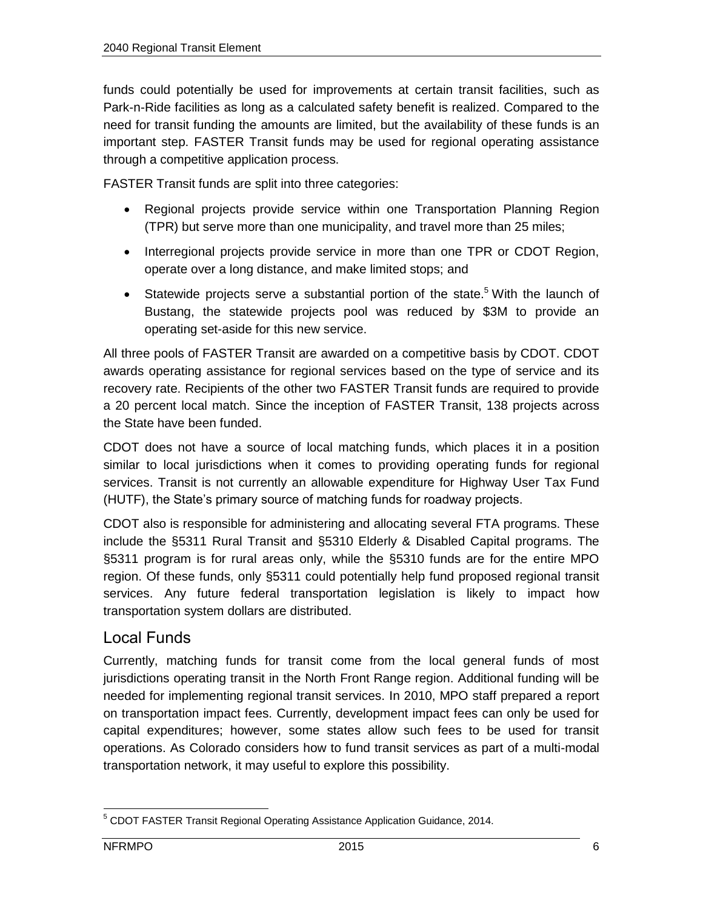funds could potentially be used for improvements at certain transit facilities, such as Park-n-Ride facilities as long as a calculated safety benefit is realized. Compared to the need for transit funding the amounts are limited, but the availability of these funds is an important step. FASTER Transit funds may be used for regional operating assistance through a competitive application process.

FASTER Transit funds are split into three categories:

- Regional projects provide service within one Transportation Planning Region (TPR) but serve more than one municipality, and travel more than 25 miles;
- Interregional projects provide service in more than one TPR or CDOT Region, operate over a long distance, and make limited stops; and
- Statewide projects serve a substantial portion of the state.<sup>5</sup> With the launch of Bustang, the statewide projects pool was reduced by \$3M to provide an operating set-aside for this new service.

All three pools of FASTER Transit are awarded on a competitive basis by CDOT. CDOT awards operating assistance for regional services based on the type of service and its recovery rate. Recipients of the other two FASTER Transit funds are required to provide a 20 percent local match. Since the inception of FASTER Transit, 138 projects across the State have been funded.

CDOT does not have a source of local matching funds, which places it in a position similar to local jurisdictions when it comes to providing operating funds for regional services. Transit is not currently an allowable expenditure for Highway User Tax Fund (HUTF), the State's primary source of matching funds for roadway projects.

CDOT also is responsible for administering and allocating several FTA programs. These include the §5311 Rural Transit and §5310 Elderly & Disabled Capital programs. The §5311 program is for rural areas only, while the §5310 funds are for the entire MPO region. Of these funds, only §5311 could potentially help fund proposed regional transit services. Any future federal transportation legislation is likely to impact how transportation system dollars are distributed.

#### Local Funds

Currently, matching funds for transit come from the local general funds of most jurisdictions operating transit in the North Front Range region. Additional funding will be needed for implementing regional transit services. In 2010, MPO staff prepared a report on transportation impact fees. Currently, development impact fees can only be used for capital expenditures; however, some states allow such fees to be used for transit operations. As Colorado considers how to fund transit services as part of a multi-modal transportation network, it may useful to explore this possibility.

 $\overline{a}$ <sup>5</sup> CDOT FASTER Transit Regional Operating Assistance Application Guidance, 2014.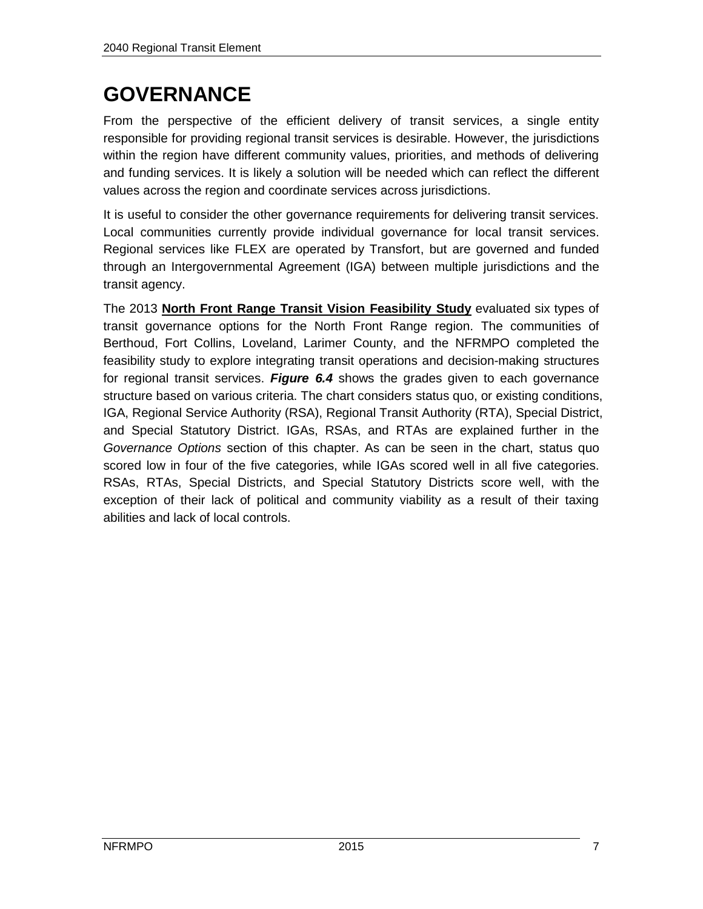## **GOVERNANCE**

From the perspective of the efficient delivery of transit services, a single entity responsible for providing regional transit services is desirable. However, the jurisdictions within the region have different community values, priorities, and methods of delivering and funding services. It is likely a solution will be needed which can reflect the different values across the region and coordinate services across jurisdictions.

It is useful to consider the other governance requirements for delivering transit services. Local communities currently provide individual governance for local transit services. Regional services like FLEX are operated by Transfort, but are governed and funded through an Intergovernmental Agreement (IGA) between multiple jurisdictions and the transit agency.

The 2013 **North Front Range Transit Vision Feasibility Study** evaluated six types of transit governance options for the North Front Range region. The communities of Berthoud, Fort Collins, Loveland, Larimer County, and the NFRMPO completed the feasibility study to explore integrating transit operations and decision-making structures for regional transit services. *Figure 6.4* shows the grades given to each governance structure based on various criteria. The chart considers status quo, or existing conditions, IGA, Regional Service Authority (RSA), Regional Transit Authority (RTA), Special District, and Special Statutory District. IGAs, RSAs, and RTAs are explained further in the *Governance Options* section of this chapter. As can be seen in the chart, status quo scored low in four of the five categories, while IGAs scored well in all five categories. RSAs, RTAs, Special Districts, and Special Statutory Districts score well, with the exception of their lack of political and community viability as a result of their taxing abilities and lack of local controls.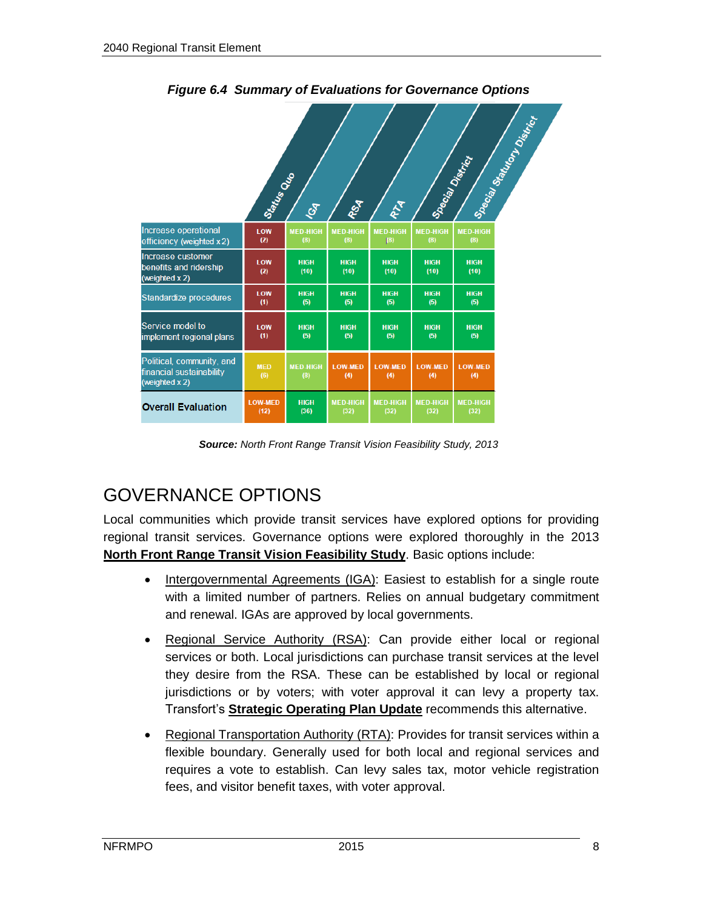|                                                                         | Status Outo            | EX                     | ROA                     | RIA                     | Special District        |                         | Special State of States |
|-------------------------------------------------------------------------|------------------------|------------------------|-------------------------|-------------------------|-------------------------|-------------------------|-------------------------|
| Increase operational<br>efficiency (weighted x 2)                       | LOW<br>(2)             | <b>MED-HIGH</b><br>(8) | <b>MED-HIGH</b><br>(8)  | <b>MED-HIGH</b><br>(8)  | <b>MED-HIGH</b><br>(8)  | <b>MED-HIGH</b><br>(8)  |                         |
| Increase customer<br>benefits and ridership<br>(weighted $x 2$ )        | LOW<br>(2)             | <b>HIGH</b><br>(10)    | <b>HIGH</b><br>(10)     | <b>HIGH</b><br>(10)     | <b>HIGH</b><br>(10)     | <b>HIGH</b><br>(10)     |                         |
| Standardize procedures                                                  | LOW<br>(1)             | <b>HIGH</b><br>(5)     | <b>HIGH</b><br>(5)      | <b>HIGH</b><br>(5)      | <b>HIGH</b><br>(5)      | <b>HIGH</b><br>(5)      |                         |
| Service model to<br>implement regional plans                            | LOW<br>(1)             | <b>HIGH</b><br>(5)     | <b>HIGH</b><br>(5)      | <b>HIGH</b><br>(5)      | <b>HIGH</b><br>(5)      | <b>HIGH</b><br>(5)      |                         |
| Political, community, and<br>financial sustainability<br>(weighted x 2) | <b>MED</b><br>(6)      | <b>MED-HIGH</b><br>(8) | <b>LOW-MED</b><br>(4)   | <b>LOW-MED</b><br>(4)   | <b>LOW-MED</b><br>(4)   | <b>LOW-MED</b><br>(4)   |                         |
| <b>Overall Evaluation</b>                                               | <b>LOW-MED</b><br>(12) | <b>HIGH</b><br>(36)    | <b>MED-HIGH</b><br>(32) | <b>MED-HIGH</b><br>(32) | <b>MED-HIGH</b><br>(32) | <b>MED-HIGH</b><br>(32) |                         |

*Figure 6.4 Summary of Evaluations for Governance Options*

*Source: North Front Range Transit Vision Feasibility Study, 2013*

### GOVERNANCE OPTIONS

Local communities which provide transit services have explored options for providing regional transit services. Governance options were explored thoroughly in the 2013 **North Front Range Transit Vision Feasibility Study**. Basic options include:

- Intergovernmental Agreements (IGA): Easiest to establish for a single route with a limited number of partners. Relies on annual budgetary commitment and renewal. IGAs are approved by local governments.
- Regional Service Authority (RSA): Can provide either local or regional services or both. Local jurisdictions can purchase transit services at the level they desire from the RSA. These can be established by local or regional jurisdictions or by voters; with voter approval it can levy a property tax. Transfort's **Strategic Operating Plan Update** recommends this alternative.
- Regional Transportation Authority (RTA): Provides for transit services within a flexible boundary. Generally used for both local and regional services and requires a vote to establish. Can levy sales tax, motor vehicle registration fees, and visitor benefit taxes, with voter approval.